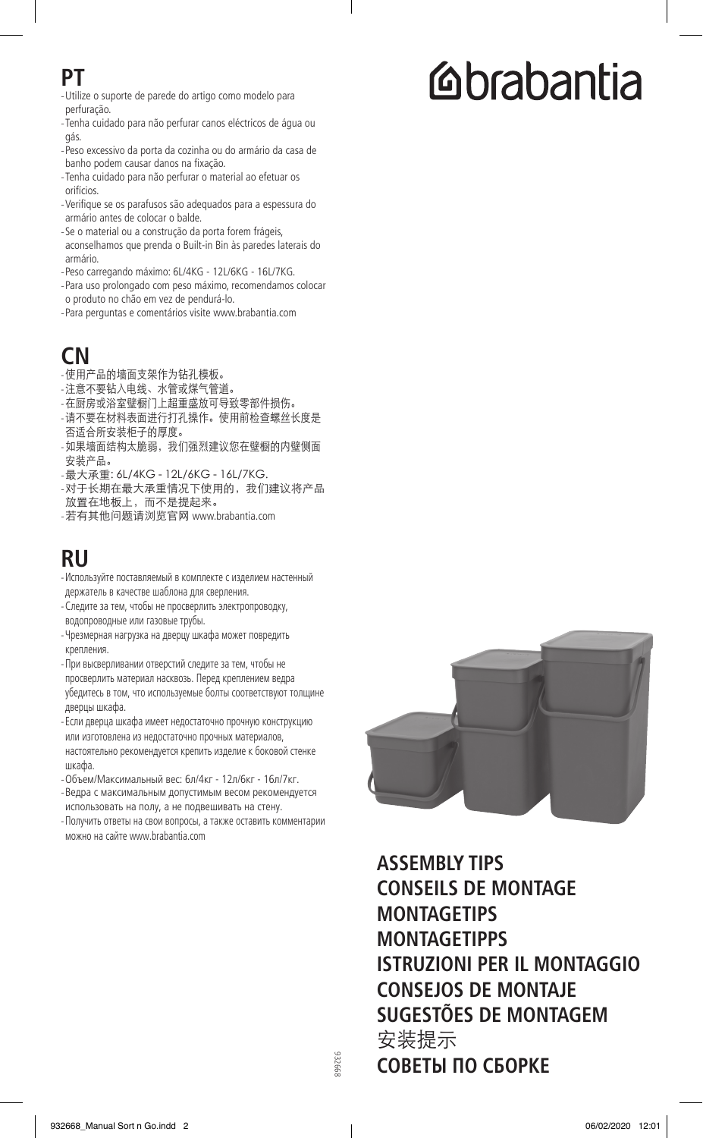#### **PT**

- -Utilize o suporte de parede do artigo como modelo para perfuração.
- -Tenha cuidado para não perfurar canos eléctricos de água ou gás.
- -Peso excessivo da porta da cozinha ou do armário da casa de banho podem causar danos na fixação.
- -Tenha cuidado para não perfurar o material ao efetuar os orifícios.
- -Verifique se os parafusos são adequados para a espessura do armário antes de colocar o balde.
- -Se o material ou a construção da porta forem frágeis, aconselhamos que prenda o Built-in Bin às paredes laterais do armário.
- -Peso carregando máximo: 6L/4KG 12L/6KG 16L/7KG.
- -Para uso prolongado com peso máximo, recomendamos colocar o produto no chão em vez de pendurá-lo.
- -Para perguntas e comentários visite www.brabantia.com

## **CN**

- -使用产品的墙面支架作为钻孔模板。
- -注意不要钻入电线、水管或煤气管道。
- -在厨房或浴室壁橱门上超重盛放可导致零部件损伤。
- -请不要在材料表面进行打孔操作。使用前检查螺丝长度是 否适合所安装柜子的厚度。
- -如果墙面结构太脆弱,我们强烈建议您在壁橱的内壁侧面 安装产品。
- -最大承重: 6L/4KG 12L/6KG 16L/7KG.
- -对于长期在最大承重情况下使用的,我们建议将产品 放置在地板上,而不是提起来。
- -若有其他问题请浏览官网 www.brabantia.com

### **RU**

- -Используйте поставляемый в комплекте с изделием настенный держатель в качестве шаблона для сверления.
- -Следите за тем, чтобы не просверлить электропроводку, водопроводные или газовые трубы.
- -Чрезмерная нагрузка на дверцу шкафа может повредить крепления.
- -При высверливании отверстий следите за тем, чтобы не просверлить материал насквозь. Перед креплением ведра убедитесь в том, что используемые болты соответствуют толщине дверцы шкафа.
- -Если дверца шкафа имеет недостаточно прочную конструкцию или изготовлена из недостаточно прочных материалов, настоятельно рекомендуется крепить изделие к боковой стенке шкафа.
- -Объем/Максимальный вес: 6л/4кг 12л/6кг 16л/7кг.
- -Ведра с максимальным допустимым весом рекомендуется использовать на полу, а не подвешивать на стену.
- -Получить ответы на свои вопросы, а также оставить комментарии можно на сайте www.brabantia.com



**ASSEMBLY TIPS CONSEILS DE MONTAGE MONTAGETIPS MONTAGETIPPS ISTRUZIONI PER IL MONTAGGIO CONSEJOS DE MONTAJE SUGESTÕES DE MONTAGEM**  安装提示 **СОВЕТЫ ПО СБОРКЕ**

# **Cabantia**